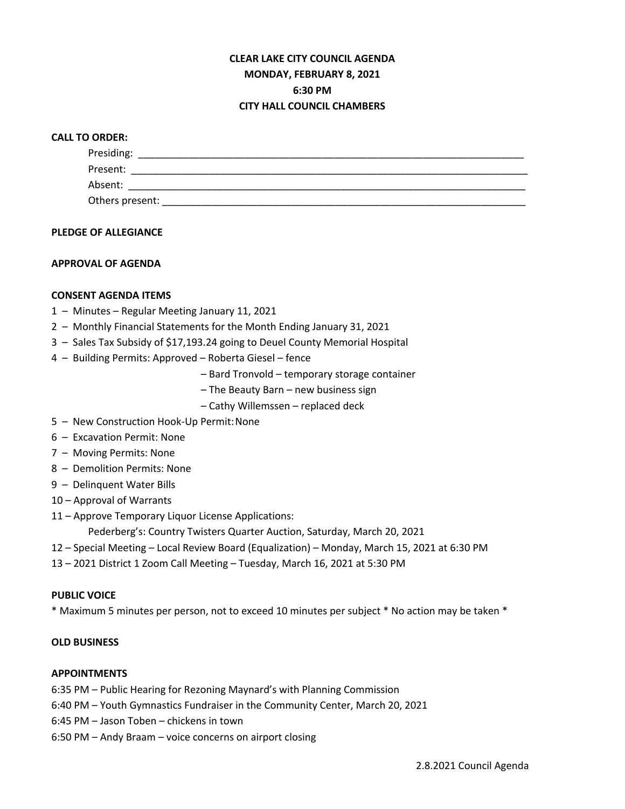# **CLEAR LAKE CITY COUNCIL AGENDA MONDAY, FEBRUARY 8, 2021 6:30 PM CITY HALL COUNCIL CHAMBERS**

## **CALL TO ORDER:**

| Presiding:      |  |  |
|-----------------|--|--|
| Present:        |  |  |
| Absent:         |  |  |
| Others present: |  |  |

#### **PLEDGE OF ALLEGIANCE**

## **APPROVAL OF AGENDA**

## **CONSENT AGENDA ITEMS**

- 1 Minutes Regular Meeting January 11, 2021
- 2 Monthly Financial Statements for the Month Ending January 31, 2021
- 3 Sales Tax Subsidy of \$17,193.24 going to Deuel County Memorial Hospital
- 4 Building Permits: Approved Roberta Giesel fence
	- Bard Tronvold temporary storage container
	- The Beauty Barn new business sign
	- Cathy Willemssen replaced deck
- 5 New Construction Hook-Up Permit:None
- 6 Excavation Permit: None
- 7 Moving Permits: None
- 8 Demolition Permits: None
- 9 Delinquent Water Bills
- 10 Approval of Warrants
- 11 Approve Temporary Liquor License Applications:

Pederberg's: Country Twisters Quarter Auction, Saturday, March 20, 2021

- 12 Special Meeting Local Review Board (Equalization) Monday, March 15, 2021 at 6:30 PM
- 13 2021 District 1 Zoom Call Meeting Tuesday, March 16, 2021 at 5:30 PM

#### **PUBLIC VOICE**

\* Maximum 5 minutes per person, not to exceed 10 minutes per subject \* No action may be taken \*

# **OLD BUSINESS**

# **APPOINTMENTS**

6:35 PM – Public Hearing for Rezoning Maynard's with Planning Commission

- 6:40 PM Youth Gymnastics Fundraiser in the Community Center, March 20, 2021
- 6:45 PM Jason Toben chickens in town
- 6:50 PM Andy Braam voice concerns on airport closing